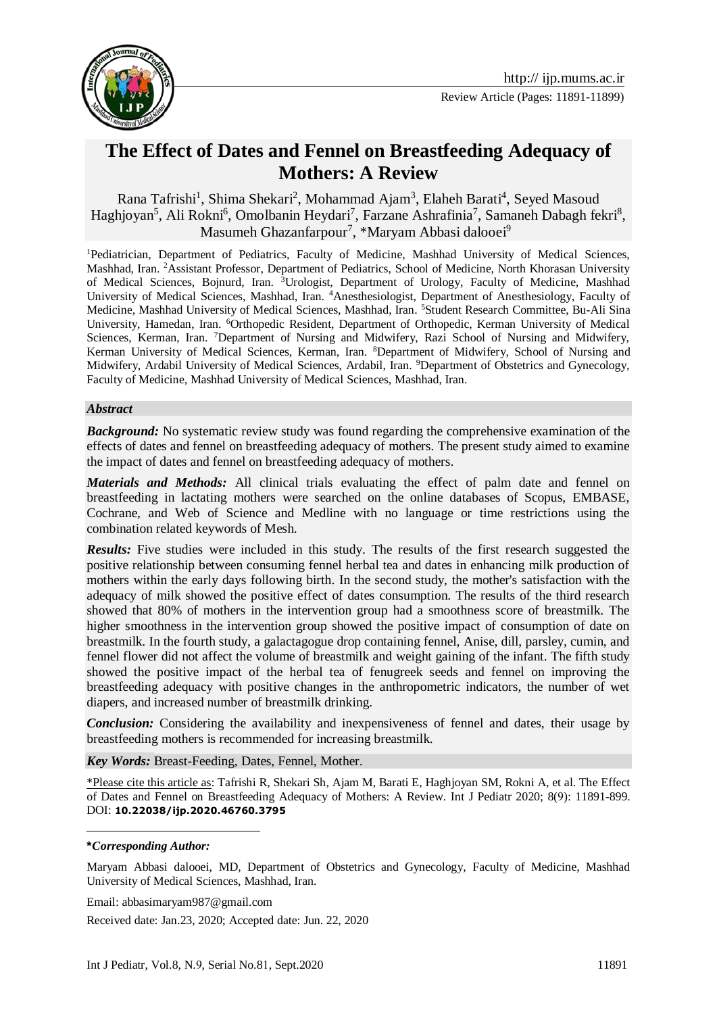



# **The Effect of Dates and Fennel on Breastfeeding Adequacy of Mothers: A Review**

Rana Tafrishi<sup>1</sup>, Shima Shekari<sup>2</sup>, Mohammad Ajam<sup>3</sup>, Elaheh Barati<sup>4</sup>, Seyed Masoud Haghjoyan<sup>5</sup>, Ali Rokni<sup>6</sup>, Omolbanin Heydari<sup>7</sup>, Farzane Ashrafinia<sup>7</sup>, Samaneh Dabagh fekri<sup>8</sup>, Masumeh Ghazanfarpour<sup>7</sup>, \*Maryam Abbasi dalooei<sup>9</sup>

<sup>1</sup>Pediatrician, Department of Pediatrics, Faculty of Medicine, Mashhad University of Medical Sciences, Mashhad, Iran. <sup>2</sup>Assistant Professor, Department of Pediatrics, School of Medicine, North Khorasan University of Medical Sciences, Bojnurd, Iran. <sup>3</sup>Urologist, Department of Urology, Faculty of Medicine, Mashhad University of Medical Sciences, Mashhad, Iran. <sup>4</sup>Anesthesiologist, Department of Anesthesiology, Faculty of Medicine, Mashhad University of Medical Sciences, Mashhad, Iran. <sup>5</sup>Student Research Committee, Bu-Ali Sina University, Hamedan, Iran. <sup>6</sup>Orthopedic Resident, Department of Orthopedic, Kerman University of Medical Sciences, Kerman, Iran. <sup>7</sup>Department of Nursing and Midwifery, Razi School of Nursing and Midwifery, Kerman University of Medical Sciences, Kerman, Iran. <sup>8</sup>Department of Midwifery, School of Nursing and Midwifery, Ardabil University of Medical Sciences, Ardabil, Iran. <sup>9</sup>Department of Obstetrics and Gynecology, Faculty of Medicine, Mashhad University of Medical Sciences, Mashhad, Iran.

#### *Abstract*

*Background:* No systematic review study was found regarding the comprehensive examination of the effects of dates and fennel on breastfeeding adequacy of mothers. The present study aimed to examine the impact of dates and fennel on breastfeeding adequacy of mothers.

*Materials and Methods:* All clinical trials evaluating the effect of palm date and fennel on breastfeeding in lactating mothers were searched on the online databases of Scopus, EMBASE, Cochrane, and Web of Science and Medline with no language or time restrictions using the combination related keywords of Mesh.

*Results:* Five studies were included in this study. The results of the first research suggested the positive relationship between consuming fennel herbal tea and dates in enhancing milk production of mothers within the early days following birth. In the second study, the mother's satisfaction with the adequacy of milk showed the positive effect of dates consumption. The results of the third research showed that 80% of mothers in the intervention group had a smoothness score of breastmilk. The higher smoothness in the intervention group showed the positive impact of consumption of date on breastmilk. In the fourth study, a galactagogue drop containing fennel, Anise, dill, parsley, cumin, and fennel flower did not affect the volume of breastmilk and weight gaining of the infant. The fifth study showed the positive impact of the herbal tea of fenugreek seeds and fennel on improving the breastfeeding adequacy with positive changes in the anthropometric indicators, the number of wet diapers, and increased number of breastmilk drinking.

*Conclusion:* Considering the availability and inexpensiveness of fennel and dates, their usage by breastfeeding mothers is recommended for increasing breastmilk.

*Key Words:* Breast-Feeding, Dates, Fennel, Mother.

\*Please cite this article as: Tafrishi R, Shekari Sh, Ajam M, Barati E, Haghjoyan SM, Rokni A, et al. The Effect of Dates and Fennel on Breastfeeding Adequacy of Mothers: A Review. Int J Pediatr 2020; 8(9): 11891-899. DOI: **10.22038/ijp.2020.46760.3795**

1

Maryam Abbasi dalooei, MD, Department of Obstetrics and Gynecology, Faculty of Medicine, Mashhad University of Medical Sciences, Mashhad, Iran.

Email: abbasimaryam987@gmail.com

Received date: Jan.23, 2020; Accepted date: Jun. 22, 2020

**<sup>\*</sup>***Corresponding Author:*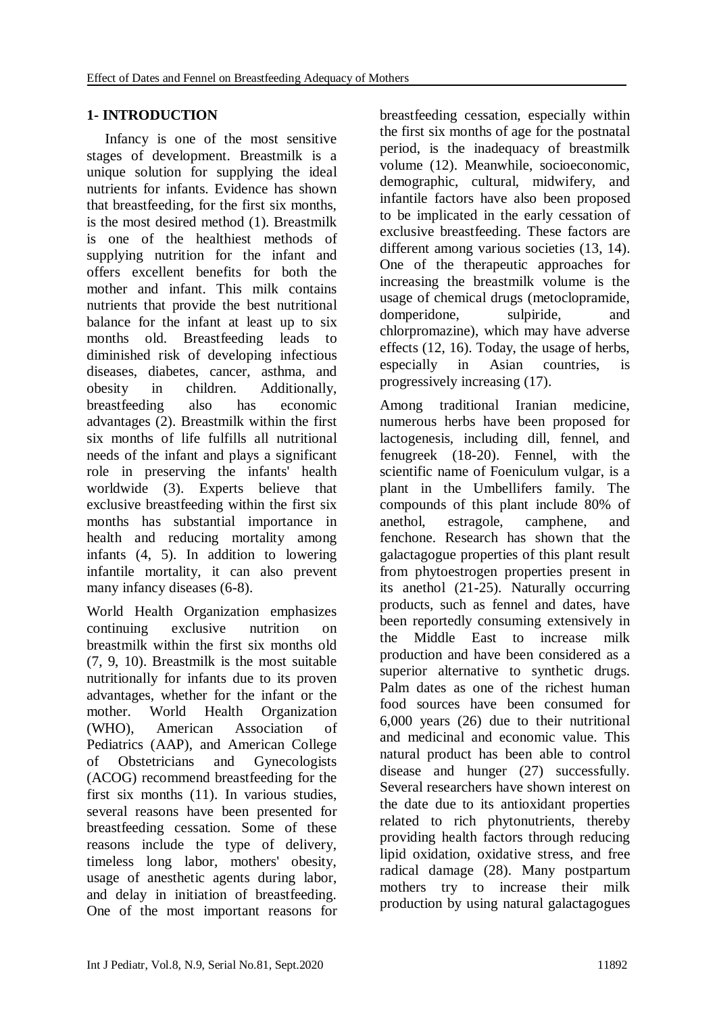# **1- INTRODUCTION**

 Infancy is one of the most sensitive stages of development. Breastmilk is a unique solution for supplying the ideal nutrients for infants. Evidence has shown that breastfeeding, for the first six months, is the most desired method (1). Breastmilk is one of the healthiest methods of supplying nutrition for the infant and offers excellent benefits for both the mother and infant. This milk contains nutrients that provide the best nutritional balance for the infant at least up to six months old. Breastfeeding leads to diminished risk of developing infectious diseases, diabetes, cancer, asthma, and obesity in children. Additionally, breastfeeding also has economic advantages (2). Breastmilk within the first six months of life fulfills all nutritional needs of the infant and plays a significant role in preserving the infants' health worldwide (3). Experts believe that exclusive breastfeeding within the first six months has substantial importance in health and reducing mortality among infants (4, 5). In addition to lowering infantile mortality, it can also prevent many infancy diseases (6-8).

World Health Organization emphasizes continuing exclusive nutrition on breastmilk within the first six months old (7, 9, 10). Breastmilk is the most suitable nutritionally for infants due to its proven advantages, whether for the infant or the mother. World Health Organization (WHO), American Association of Pediatrics (AAP), and American College of Obstetricians and Gynecologists (ACOG) recommend breastfeeding for the first six months (11). In various studies, several reasons have been presented for breastfeeding cessation. Some of these reasons include the type of delivery, timeless long labor, mothers' obesity, usage of anesthetic agents during labor, and delay in initiation of breastfeeding. One of the most important reasons for breastfeeding cessation, especially within the first six months of age for the postnatal period, is the inadequacy of breastmilk volume (12). Meanwhile, socioeconomic, demographic, cultural, midwifery, and infantile factors have also been proposed to be implicated in the early cessation of exclusive breastfeeding. These factors are different among various societies (13, 14). One of the therapeutic approaches for increasing the breastmilk volume is the usage of chemical drugs (metoclopramide, domperidone, sulpiride, and chlorpromazine), which may have adverse effects (12, 16). Today, the usage of herbs, especially in Asian countries, is progressively increasing (17).

Among traditional Iranian medicine, numerous herbs have been proposed for lactogenesis, including dill, fennel, and fenugreek (18-20). Fennel, with the scientific name of Foeniculum vulgar, is a plant in the Umbellifers family. The compounds of this plant include 80% of anethol, estragole, camphene, and fenchone. Research has shown that the galactagogue properties of this plant result from phytoestrogen properties present in its anethol (21-25). Naturally occurring products, such as fennel and dates, have been reportedly consuming extensively in the Middle East to increase milk production and have been considered as a superior alternative to synthetic drugs. Palm dates as one of the richest human food sources have been consumed for 6,000 years (26) due to their nutritional and medicinal and economic value. This natural product has been able to control disease and hunger (27) successfully. Several researchers have shown interest on the date due to its antioxidant properties related to rich phytonutrients, thereby providing health factors through reducing lipid oxidation, oxidative stress, and free radical damage (28). Many postpartum mothers try to increase their milk production by using natural galactagogues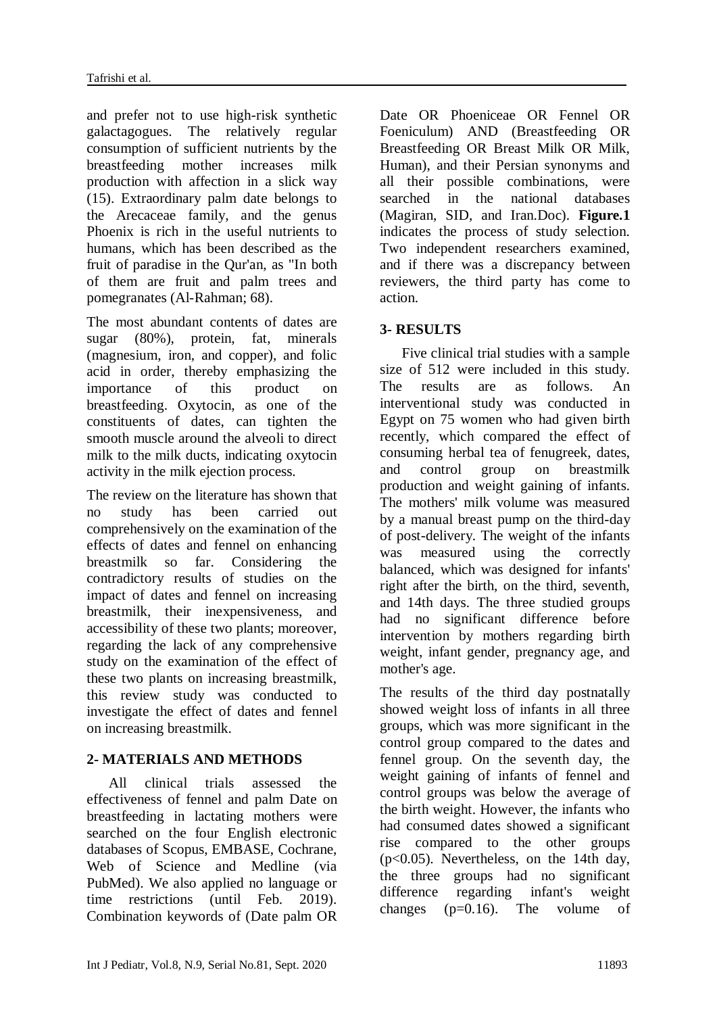and prefer not to use high-risk synthetic galactagogues. The relatively regular consumption of sufficient nutrients by the breastfeeding mother increases milk production with affection in a slick way (15). Extraordinary palm date belongs to the Arecaceae family, and the genus Phoenix is rich in the useful nutrients to humans, which has been described as the fruit of paradise in the Qur'an, as "In both of them are fruit and palm trees and pomegranates (Al-Rahman; 68).

The most abundant contents of dates are sugar (80%), protein, fat, minerals (magnesium, iron, and copper), and folic acid in order, thereby emphasizing the importance of this product on breastfeeding. Oxytocin, as one of the constituents of dates, can tighten the smooth muscle around the alveoli to direct milk to the milk ducts, indicating oxytocin activity in the milk ejection process.

The review on the literature has shown that no study has been carried out comprehensively on the examination of the effects of dates and fennel on enhancing breastmilk so far. Considering the contradictory results of studies on the impact of dates and fennel on increasing breastmilk, their inexpensiveness, and accessibility of these two plants; moreover, regarding the lack of any comprehensive study on the examination of the effect of these two plants on increasing breastmilk, this review study was conducted to investigate the effect of dates and fennel on increasing breastmilk.

# **2- MATERIALS AND METHODS**

 All clinical trials assessed the effectiveness of fennel and palm Date on breastfeeding in lactating mothers were searched on the four English electronic databases of Scopus, EMBASE, Cochrane, Web of Science and Medline (via PubMed). We also applied no language or time restrictions (until Feb. 2019). Combination keywords of (Date palm OR Date OR Phoeniceae OR Fennel OR Foeniculum) AND (Breastfeeding OR Breastfeeding OR Breast Milk OR Milk, Human), and their Persian synonyms and all their possible combinations, were searched in the national databases (Magiran, SID, and Iran.Doc). **Figure.1** indicates the process of study selection. Two independent researchers examined, and if there was a discrepancy between reviewers, the third party has come to action.

### **3- RESULTS**

 Five clinical trial studies with a sample size of 512 were included in this study. The results are as follows. An interventional study was conducted in Egypt on 75 women who had given birth recently, which compared the effect of consuming herbal tea of fenugreek, dates, and control group on breastmilk production and weight gaining of infants. The mothers' milk volume was measured by a manual breast pump on the third-day of post-delivery. The weight of the infants was measured using the correctly balanced, which was designed for infants' right after the birth, on the third, seventh, and 14th days. The three studied groups had no significant difference before intervention by mothers regarding birth weight, infant gender, pregnancy age, and mother's age.

The results of the third day postnatally showed weight loss of infants in all three groups, which was more significant in the control group compared to the dates and fennel group. On the seventh day, the weight gaining of infants of fennel and control groups was below the average of the birth weight. However, the infants who had consumed dates showed a significant rise compared to the other groups (p<0.05). Nevertheless, on the 14th day, the three groups had no significant difference regarding infant's weight changes  $(p=0.16)$ . The volume of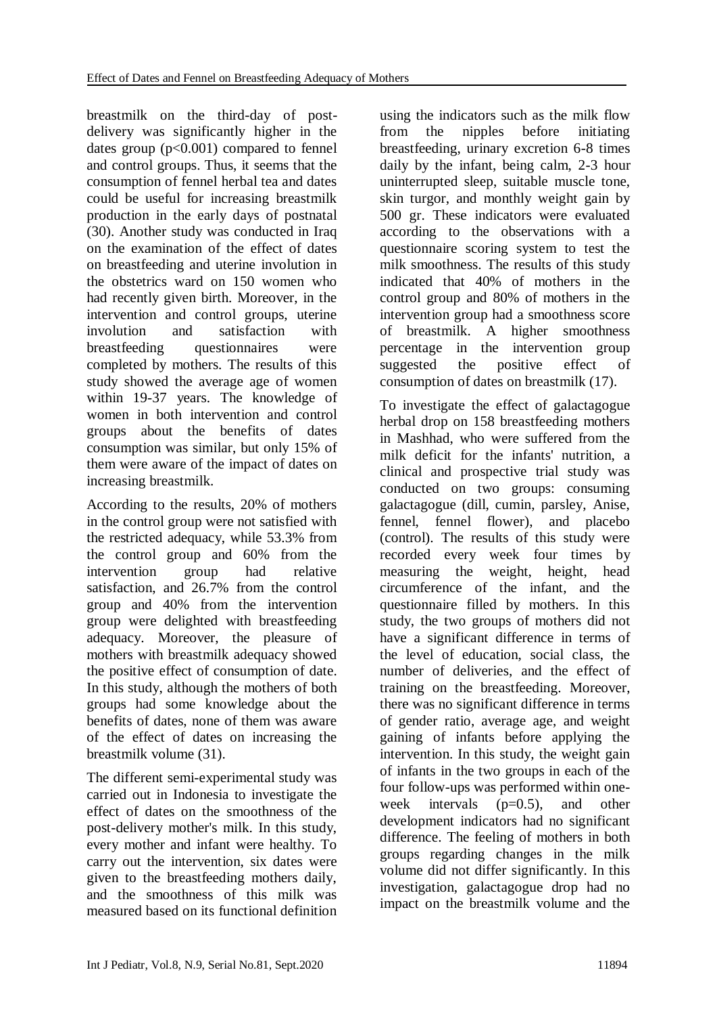breastmilk on the third-day of postdelivery was significantly higher in the dates group  $(p<0.001)$  compared to fennel and control groups. Thus, it seems that the consumption of fennel herbal tea and dates could be useful for increasing breastmilk production in the early days of postnatal (30). Another study was conducted in Iraq on the examination of the effect of dates on breastfeeding and uterine involution in the obstetrics ward on 150 women who had recently given birth. Moreover, in the intervention and control groups, uterine involution and satisfaction with breastfeeding questionnaires were completed by mothers. The results of this study showed the average age of women within 19-37 years. The knowledge of women in both intervention and control groups about the benefits of dates consumption was similar, but only 15% of them were aware of the impact of dates on increasing breastmilk.

According to the results, 20% of mothers in the control group were not satisfied with the restricted adequacy, while 53.3% from the control group and 60% from the intervention group had relative satisfaction, and 26.7% from the control group and 40% from the intervention group were delighted with breastfeeding adequacy. Moreover, the pleasure of mothers with breastmilk adequacy showed the positive effect of consumption of date. In this study, although the mothers of both groups had some knowledge about the benefits of dates, none of them was aware of the effect of dates on increasing the breastmilk volume (31).

The different semi-experimental study was carried out in Indonesia to investigate the effect of dates on the smoothness of the post-delivery mother's milk. In this study, every mother and infant were healthy. To carry out the intervention, six dates were given to the breastfeeding mothers daily, and the smoothness of this milk was measured based on its functional definition

using the indicators such as the milk flow from the nipples before initiating breastfeeding, urinary excretion 6-8 times daily by the infant, being calm, 2-3 hour uninterrupted sleep, suitable muscle tone, skin turgor, and monthly weight gain by 500 gr. These indicators were evaluated according to the observations with a questionnaire scoring system to test the milk smoothness. The results of this study indicated that 40% of mothers in the control group and 80% of mothers in the intervention group had a smoothness score of breastmilk. A higher smoothness percentage in the intervention group suggested the positive effect of consumption of dates on breastmilk (17).

To investigate the effect of galactagogue herbal drop on 158 breastfeeding mothers in Mashhad, who were suffered from the milk deficit for the infants' nutrition, a clinical and prospective trial study was conducted on two groups: consuming galactagogue (dill, cumin, parsley, Anise, fennel, fennel flower), and placebo (control). The results of this study were recorded every week four times by measuring the weight, height, head circumference of the infant, and the questionnaire filled by mothers. In this study, the two groups of mothers did not have a significant difference in terms of the level of education, social class, the number of deliveries, and the effect of training on the breastfeeding. Moreover, there was no significant difference in terms of gender ratio, average age, and weight gaining of infants before applying the intervention. In this study, the weight gain of infants in the two groups in each of the four follow-ups was performed within oneweek intervals  $(p=0.5)$ , and other development indicators had no significant difference. The feeling of mothers in both groups regarding changes in the milk volume did not differ significantly. In this investigation, galactagogue drop had no impact on the breastmilk volume and the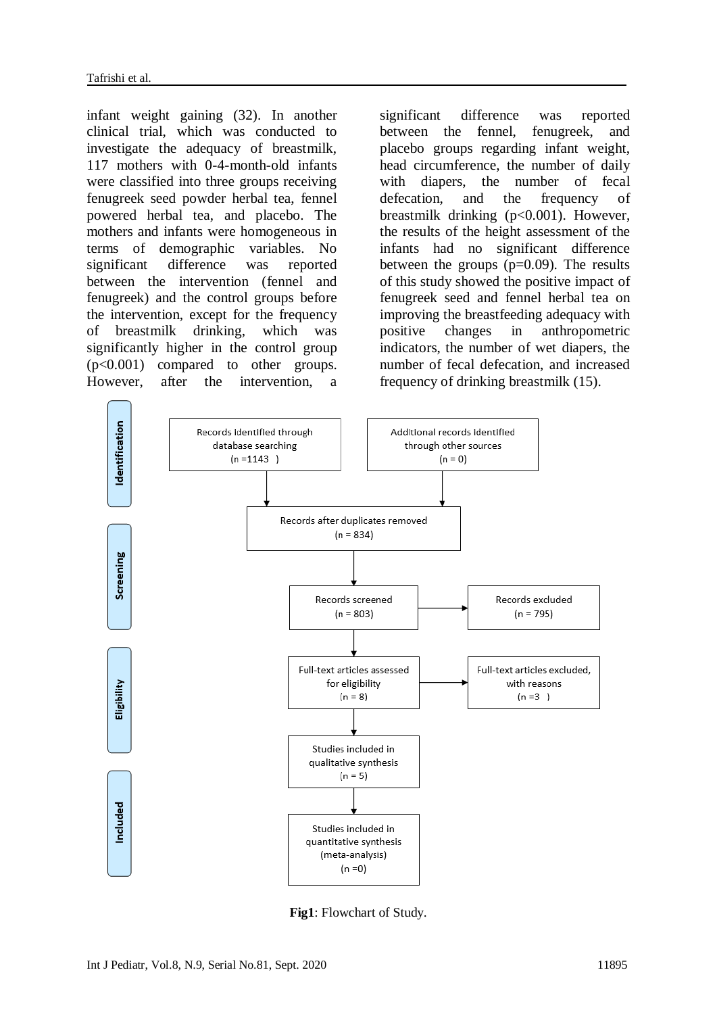infant weight gaining (32). In another clinical trial, which was conducted to investigate the adequacy of breastmilk, 117 mothers with 0-4-month-old infants were classified into three groups receiving fenugreek seed powder herbal tea, fennel powered herbal tea, and placebo. The mothers and infants were homogeneous in terms of demographic variables. No significant difference was reported between the intervention (fennel and fenugreek) and the control groups before the intervention, except for the frequency of breastmilk drinking, which was significantly higher in the control group (p<0.001) compared to other groups. However, after the intervention,

significant difference was reported between the fennel, fenugreek, and placebo groups regarding infant weight, head circumference, the number of daily with diapers, the number of fecal defecation, and the frequency of breastmilk drinking (p<0.001). However, the results of the height assessment of the infants had no significant difference between the groups  $(p=0.09)$ . The results of this study showed the positive impact of fenugreek seed and fennel herbal tea on improving the breastfeeding adequacy with positive changes in anthropometric indicators, the number of wet diapers, the number of fecal defecation, and increased frequency of drinking breastmilk (15).



**Fig1**: Flowchart of Study.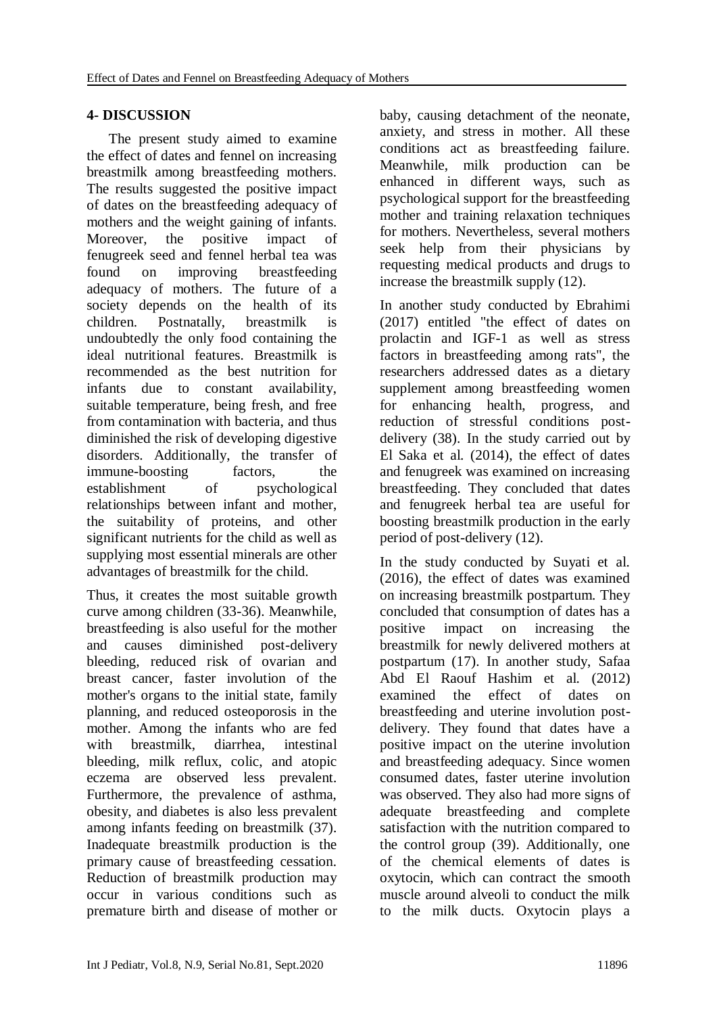### **4- DISCUSSION**

 The present study aimed to examine the effect of dates and fennel on increasing breastmilk among breastfeeding mothers. The results suggested the positive impact of dates on the breastfeeding adequacy of mothers and the weight gaining of infants. Moreover, the positive impact of fenugreek seed and fennel herbal tea was found on improving breastfeeding adequacy of mothers. The future of a society depends on the health of its children. Postnatally, breastmilk is undoubtedly the only food containing the ideal nutritional features. Breastmilk is recommended as the best nutrition for infants due to constant availability, suitable temperature, being fresh, and free from contamination with bacteria, and thus diminished the risk of developing digestive disorders. Additionally, the transfer of immune-boosting factors, the establishment of psychological relationships between infant and mother, the suitability of proteins, and other significant nutrients for the child as well as supplying most essential minerals are other advantages of breastmilk for the child.

Thus, it creates the most suitable growth curve among children (33-36). Meanwhile, breastfeeding is also useful for the mother and causes diminished post-delivery bleeding, reduced risk of ovarian and breast cancer, faster involution of the mother's organs to the initial state, family planning, and reduced osteoporosis in the mother. Among the infants who are fed with breastmilk, diarrhea, intestinal bleeding, milk reflux, colic, and atopic eczema are observed less prevalent. Furthermore, the prevalence of asthma, obesity, and diabetes is also less prevalent among infants feeding on breastmilk (37). Inadequate breastmilk production is the primary cause of breastfeeding cessation. Reduction of breastmilk production may occur in various conditions such as premature birth and disease of mother or

baby, causing detachment of the neonate, anxiety, and stress in mother. All these conditions act as breastfeeding failure. Meanwhile, milk production can be enhanced in different ways, such as psychological support for the breastfeeding mother and training relaxation techniques for mothers. Nevertheless, several mothers seek help from their physicians by requesting medical products and drugs to increase the breastmilk supply (12).

In another study conducted by Ebrahimi (2017) entitled "the effect of dates on prolactin and IGF-1 as well as stress factors in breastfeeding among rats", the researchers addressed dates as a dietary supplement among breastfeeding women for enhancing health, progress, and reduction of stressful conditions postdelivery (38). In the study carried out by El Saka et al. (2014), the effect of dates and fenugreek was examined on increasing breastfeeding. They concluded that dates and fenugreek herbal tea are useful for boosting breastmilk production in the early period of post-delivery (12).

In the study conducted by Suyati et al. (2016), the effect of dates was examined on increasing breastmilk postpartum. They concluded that consumption of dates has a positive impact on increasing the breastmilk for newly delivered mothers at postpartum (17). In another study, Safaa Abd El Raouf Hashim et al. (2012) examined the effect of dates on breastfeeding and uterine involution postdelivery. They found that dates have a positive impact on the uterine involution and breastfeeding adequacy. Since women consumed dates, faster uterine involution was observed. They also had more signs of adequate breastfeeding and complete satisfaction with the nutrition compared to the control group (39). Additionally, one of the chemical elements of dates is oxytocin, which can contract the smooth muscle around alveoli to conduct the milk to the milk ducts. Oxytocin plays a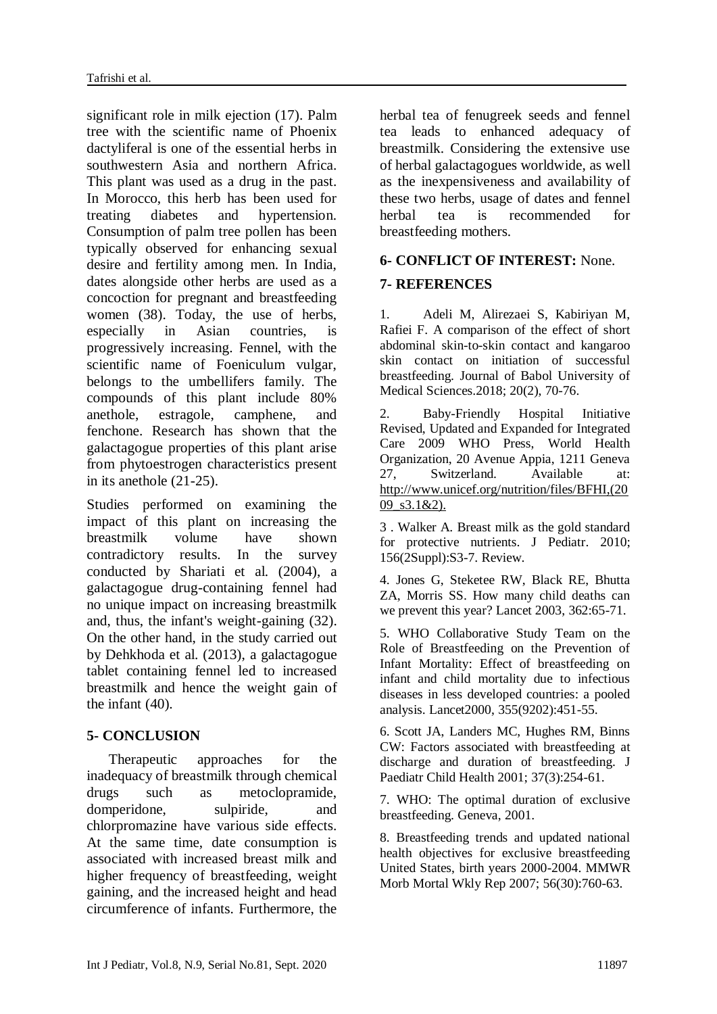significant role in milk ejection (17). Palm tree with the scientific name of Phoenix dactyliferal is one of the essential herbs in southwestern Asia and northern Africa. This plant was used as a drug in the past. In Morocco, this herb has been used for treating diabetes and hypertension. Consumption of palm tree pollen has been typically observed for enhancing sexual desire and fertility among men. In India, dates alongside other herbs are used as a concoction for pregnant and breastfeeding women (38). Today, the use of herbs, especially in Asian countries, is progressively increasing. Fennel, with the scientific name of Foeniculum vulgar, belongs to the umbellifers family. The compounds of this plant include 80% anethole, estragole, camphene, and fenchone. Research has shown that the galactagogue properties of this plant arise from phytoestrogen characteristics present in its anethole (21-25).

Studies performed on examining the impact of this plant on increasing the breastmilk volume have shown contradictory results. In the survey conducted by Shariati et al. (2004), a galactagogue drug-containing fennel had no unique impact on increasing breastmilk and, thus, the infant's weight-gaining (32). On the other hand, in the study carried out by Dehkhoda et al. (2013), a galactagogue tablet containing fennel led to increased breastmilk and hence the weight gain of the infant (40).

#### **5- CONCLUSION**

 Therapeutic approaches for the inadequacy of breastmilk through chemical drugs such as metoclopramide, domperidone, sulpiride, and chlorpromazine have various side effects. At the same time, date consumption is associated with increased breast milk and higher frequency of breastfeeding, weight gaining, and the increased height and head circumference of infants. Furthermore, the

herbal tea of fenugreek seeds and fennel tea leads to enhanced adequacy of breastmilk. Considering the extensive use of herbal galactagogues worldwide, as well as the inexpensiveness and availability of these two herbs, usage of dates and fennel herbal tea is recommended for breastfeeding mothers.

#### **6- CONFLICT OF INTEREST:** None.

### **7- REFERENCES**

1. Adeli M, Alirezaei S, Kabiriyan M, Rafiei F. A comparison of the effect of short abdominal skin-to-skin contact and kangaroo skin contact on initiation of successful breastfeeding. Journal of Babol University of Medical Sciences.2018; 20(2), 70-76.

2. Baby-Friendly Hospital Initiative Revised, Updated and Expanded for Integrated Care 2009 WHO Press, World Health Organization, 20 Avenue Appia, 1211 Geneva 27, Switzerland. Available at: http://www.unicef.org/nutrition/files/BFHI,(20 09\_s3.1&2).

3 . Walker A. Breast milk as the gold standard for protective nutrients. J Pediatr. 2010; 156(2Suppl):S3-7. Review.

4. Jones G, Steketee RW, Black RE, Bhutta ZA, Morris SS. How many child deaths can we prevent this year? Lancet 2003, 362:65-71.

5. WHO Collaborative Study Team on the Role of Breastfeeding on the Prevention of Infant Mortality: Effect of breastfeeding on infant and child mortality due to infectious diseases in less developed countries: a pooled analysis. Lancet2000, 355(9202):451-55.

6. Scott JA, Landers MC, Hughes RM, Binns CW: Factors associated with breastfeeding at discharge and duration of breastfeeding. J Paediatr Child Health 2001; 37(3):254-61.

7. WHO: The optimal duration of exclusive breastfeeding. Geneva, 2001.

8. Breastfeeding trends and updated national health objectives for exclusive breastfeeding United States, birth years 2000-2004. MMWR Morb Mortal Wkly Rep 2007; 56(30):760-63.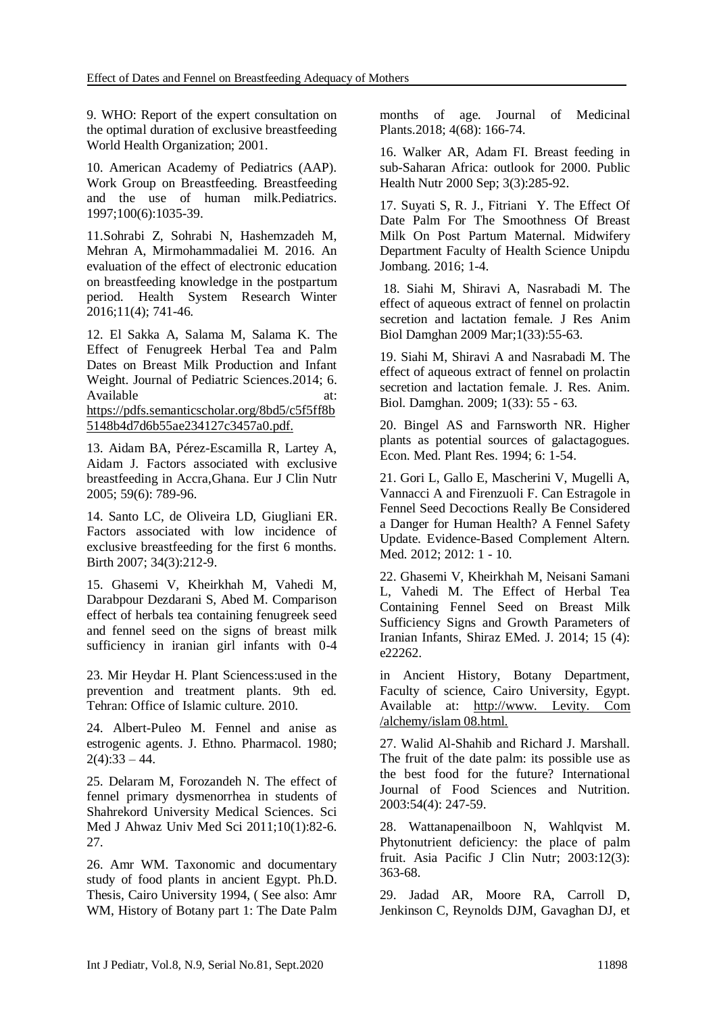9. WHO: Report of the expert consultation on the optimal duration of exclusive breastfeeding World Health Organization; 2001.

10. American Academy of Pediatrics (AAP). Work Group on Breastfeeding. Breastfeeding and the use of human milk.Pediatrics. 1997;100(6):1035-39.

11.Sohrabi Z, Sohrabi N, Hashemzadeh M, Mehran A, Mirmohammadaliei M. 2016. An evaluation of the effect of electronic education on breastfeeding knowledge in the postpartum period. [Health System Research](https://www.sid.ir/en/journal/JournalList.aspx?ID=13821) [Winter](https://www.sid.ir/en/journal/JournalListPaper.aspx?ID=229826)  [2016;11\(4\)](https://www.sid.ir/en/journal/JournalListPaper.aspx?ID=229826); 741-46.

12. El Sakka A, Salama M, Salama K. The Effect of Fenugreek Herbal Tea and Palm Dates on Breast Milk Production and Infant Weight. Journal of Pediatric Sciences.2014; 6. Available at: at: [https://pdfs.semanticscholar.org/8bd5/c5f5ff8b](https://pdfs.semanticscholar.org/8bd5/c5f5ff8b5148b4d7d6b55ae234127c3457a0.pdf) [5148b4d7d6b55ae234127c3457a0.pdf.](https://pdfs.semanticscholar.org/8bd5/c5f5ff8b5148b4d7d6b55ae234127c3457a0.pdf)

13. Aidam BA, Pérez-Escamilla R, Lartey A, Aidam J. Factors associated with exclusive breastfeeding in Accra,Ghana. Eur J Clin Nutr 2005; 59(6): 789-96.

14. Santo LC, de Oliveira LD, Giugliani ER. Factors associated with low incidence of exclusive breastfeeding for the first 6 months. Birth 2007; 34(3):212-9.

15. Ghasemi V, Kheirkhah M, Vahedi M, Darabpour Dezdarani S, Abed M. Comparison effect of herbals tea containing fenugreek seed and fennel seed on the signs of breast milk sufficiency in iranian girl infants with 0-4

23. Mir Heydar H. Plant Sciencess:used in the prevention and treatment plants. 9th ed. Tehran: Office of Islamic culture. 2010.

24. Albert-Puleo M. Fennel and anise as estrogenic agents. J. Ethno. Pharmacol. 1980;  $2(4):33 - 44.$ 

25. Delaram M, Forozandeh N. The effect of fennel primary dysmenorrhea in students of Shahrekord University Medical Sciences. Sci Med J Ahwaz Univ Med Sci 2011;10(1):82-6. 27.

26. Amr WM. Taxonomic and documentary study of food plants in ancient Egypt. Ph.D. Thesis, Cairo University 1994, ( See also: Amr WM, History of Botany part 1: The Date Palm months of age. Journal of Medicinal Plants.2018; 4(68): 166-74.

16. Walker AR, Adam FI. Breast feeding in sub-Saharan Africa: outlook for 2000. Public Health Nutr 2000 Sep; 3(3):285-92.

17. Suyati S, R. J., Fitriani Y. The Effect Of Date Palm For The Smoothness Of Breast Milk On Post Partum Maternal. Midwifery Department Faculty of Health Science Unipdu Jombang. 2016; 1-4.

18. Siahi M, Shiravi A, Nasrabadi M. The effect of aqueous extract of fennel on prolactin secretion and lactation female. J Res Anim Biol Damghan 2009 Mar;1(33):55-63.

19. Siahi M, Shiravi A and Nasrabadi M. The effect of aqueous extract of fennel on prolactin secretion and lactation female. J. Res. Anim. Biol. Damghan. 2009; 1(33): 55 - 63.

20. Bingel AS and Farnsworth NR. Higher plants as potential sources of galactagogues. Econ. Med. Plant Res. 1994; 6: 1-54.

21. Gori L, Gallo E, Mascherini V, Mugelli A, Vannacci A and Firenzuoli F. Can Estragole in Fennel Seed Decoctions Really Be Considered a Danger for Human Health? A Fennel Safety Update. Evidence-Based Complement Altern. Med. 2012; 2012: 1 - 10.

22. Ghasemi V, Kheirkhah M, Neisani Samani L, Vahedi M. The Effect of Herbal Tea Containing Fennel Seed on Breast Milk Sufficiency Signs and Growth Parameters of Iranian Infants, Shiraz EMed. J. 2014; 15 (4): e22262.

in Ancient History, Botany Department, Faculty of science, Cairo University, Egypt. Available at: http://www. Levity. Com /alchemy/islam 08.html.

27. Walid Al-Shahib and Richard J. Marshall. The fruit of the date palm: its possible use as the best food for the future? International Journal of Food Sciences and Nutrition. 2003:54(4): 247-59.

28. Wattanapenailboon N, Wahlqvist M. Phytonutrient deficiency: the place of palm fruit. Asia Pacific J Clin Nutr; 2003:12(3): 363-68.

29. Jadad AR, Moore RA, Carroll D, Jenkinson C, Reynolds DJM, Gavaghan DJ, et